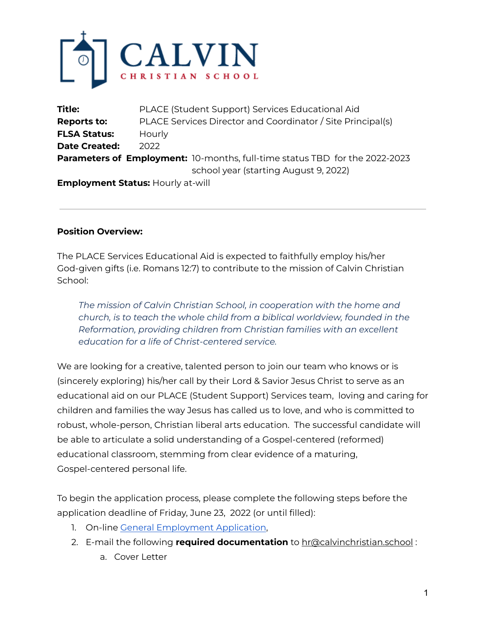

| <b>Title:</b>                                                                      | PLACE (Student Support) Services Educational Aid            |
|------------------------------------------------------------------------------------|-------------------------------------------------------------|
| <b>Reports to:</b>                                                                 | PLACE Services Director and Coordinator / Site Principal(s) |
| <b>FLSA Status:</b>                                                                | Hourly                                                      |
| <b>Date Created:</b>                                                               | 2022                                                        |
| <b>Parameters of Employment:</b> 10-months, full-time status TBD for the 2022-2023 |                                                             |
|                                                                                    | school year (starting August 9, 2022)                       |
|                                                                                    | <b>Employment Status: Hourly at-will</b>                    |

### **Position Overview:**

The PLACE Services Educational Aid is expected to faithfully employ his/her God-given gifts (i.e. Romans 12:7) to contribute to the mission of Calvin Christian School:

*The mission of Calvin Christian School, in cooperation with the home and church, is to teach the whole child from a biblical worldview, founded in the Reformation, providing children from Christian families with an excellent education for a life of Christ-centered service.*

We are looking for a creative, talented person to join our team who knows or is (sincerely exploring) his/her call by their Lord & Savior Jesus Christ to serve as an educational aid on our PLACE (Student Support) Services team, loving and caring for children and families the way Jesus has called us to love, and who is committed to robust, whole-person, Christian liberal arts education. The successful candidate will be able to articulate a solid understanding of a Gospel-centered (reformed) educational classroom, stemming from clear evidence of a maturing, Gospel-centered personal life.

To begin the application process, please complete the following steps before the application deadline of Friday, June 23, 2022 (or until filled):

- 1. On-line General [Employment](https://docs.google.com/forms/d/e/1FAIpQLSes3ijSGbG4Pu7O1cACBkXjEuAZqFmHssBX3UMr9h5EuNVreA/viewform?usp=sf_link) Application,
- 2. E-mail the following **required documentation** to hr@calvinchristian.school :
	- a. Cover Letter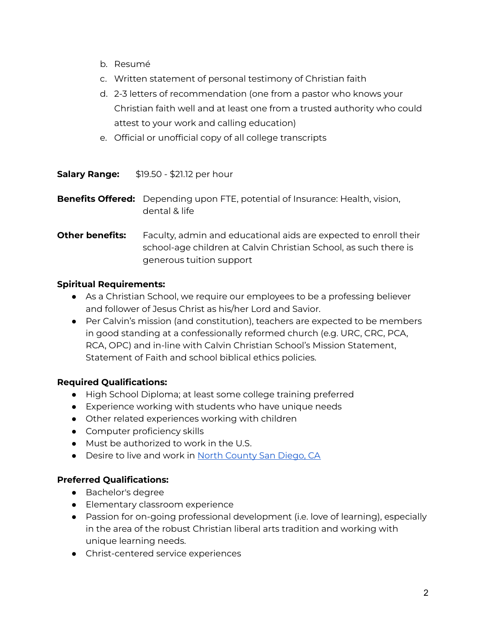- b. Resumé
- c. Written statement of personal testimony of Christian faith
- d. 2-3 letters of recommendation (one from a pastor who knows your Christian faith well and at least one from a trusted authority who could attest to your work and calling education)
- e. Official or unofficial copy of all college transcripts

**Salary Range:** \$19.50 - \$21.12 per hour

**Benefits Offered:** Depending upon FTE, potential of Insurance: Health, vision, dental & life

**Other benefits:** Faculty, admin and educational aids are expected to enroll their school-age children at Calvin Christian School, as such there is generous tuition support

### **Spiritual Requirements:**

- As a Christian School, we require our employees to be a professing believer and follower of Jesus Christ as his/her Lord and Savior.
- Per Calvin's mission (and constitution), teachers are expected to be members in good standing at a confessionally reformed church (e.g. URC, CRC, PCA, RCA, OPC) and in-line with Calvin Christian School's Mission Statement, Statement of Faith and school biblical ethics policies.

### **Required Qualifications:**

- High School Diploma; at least some college training preferred
- Experience working with students who have unique needs
- Other related experiences working with children
- Computer proficiency skills
- Must be authorized to work in the U.S.
- Desire to live and work in North [County](https://www.sandiego.org/explore/coastal/north-county-coastal.aspx) San Diego, CA

## **Preferred Qualifications:**

- Bachelor's degree
- Elementary classroom experience
- Passion for on-going professional development (i.e. love of learning), especially in the area of the robust Christian liberal arts tradition and working with unique learning needs.
- Christ-centered service experiences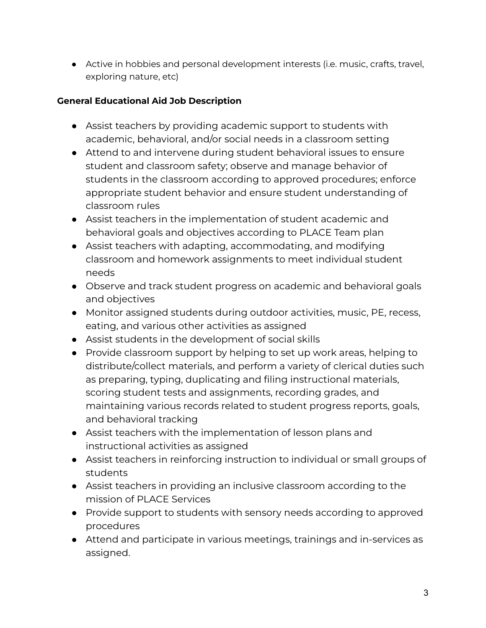● Active in hobbies and personal development interests (i.e. music, crafts, travel, exploring nature, etc)

# **General Educational Aid Job Description**

- Assist teachers by providing academic support to students with academic, behavioral, and/or social needs in a classroom setting
- Attend to and intervene during student behavioral issues to ensure student and classroom safety; observe and manage behavior of students in the classroom according to approved procedures; enforce appropriate student behavior and ensure student understanding of classroom rules
- Assist teachers in the implementation of student academic and behavioral goals and objectives according to PLACE Team plan
- Assist teachers with adapting, accommodating, and modifying classroom and homework assignments to meet individual student needs
- Observe and track student progress on academic and behavioral goals and objectives
- Monitor assigned students during outdoor activities, music, PE, recess, eating, and various other activities as assigned
- Assist students in the development of social skills
- Provide classroom support by helping to set up work areas, helping to distribute/collect materials, and perform a variety of clerical duties such as preparing, typing, duplicating and filing instructional materials, scoring student tests and assignments, recording grades, and maintaining various records related to student progress reports, goals, and behavioral tracking
- Assist teachers with the implementation of lesson plans and instructional activities as assigned
- Assist teachers in reinforcing instruction to individual or small groups of students
- Assist teachers in providing an inclusive classroom according to the mission of PLACE Services
- Provide support to students with sensory needs according to approved procedures
- Attend and participate in various meetings, trainings and in-services as assigned.